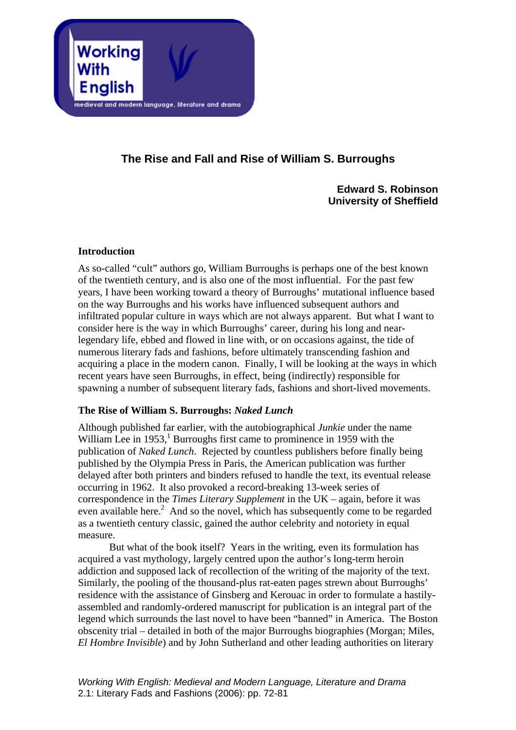

# **The Rise and Fall and Rise of William S. Burroughs**

**Edward S. Robinson University of Sheffield** 

# **Introduction**

As so-called "cult" authors go, William Burroughs is perhaps one of the best known of the twentieth century, and is also one of the most influential. For the past few years, I have been working toward a theory of Burroughs' mutational influence based on the way Burroughs and his works have influenced subsequent authors and infiltrated popular culture in ways which are not always apparent. But what I want to consider here is the way in which Burroughs' career, during his long and nearlegendary life, ebbed and flowed in line with, or on occasions against, the tide of numerous literary fads and fashions, before ultimately transcending fashion and acquiring a place in the modern canon. Finally, I will be looking at the ways in which recent years have seen Burroughs, in effect, being (indirectly) responsible for spawning a number of subsequent literary fads, fashions and short-lived movements.

# **The Rise of William S. Burroughs:** *Naked Lunch*

Although published far earlier, with the autobiographical *Junkie* under the name William Lee in  $1953$ ,<sup>1</sup> Burroughs first came to prominence in 1959 with the publication of *Naked Lunch*. Rejected by countless publishers before finally being published by the Olympia Press in Paris, the American publication was further delayed after both printers and binders refused to handle the text, its eventual release occurring in 1962. It also provoked a record-breaking 13-week series of correspondence in the *Times Literary Supplement* in the UK – again, before it was even available here.<sup>2</sup> And so the novel, which has subsequently come to be regarded as a twentieth century classic, gained the author celebrity and notoriety in equal measure.

But what of the book itself? Years in the writing, even its formulation has acquired a vast mythology, largely centred upon the author's long-term heroin addiction and supposed lack of recollection of the writing of the majority of the text. Similarly, the pooling of the thousand-plus rat-eaten pages strewn about Burroughs' residence with the assistance of Ginsberg and Kerouac in order to formulate a hastilyassembled and randomly-ordered manuscript for publication is an integral part of the legend which surrounds the last novel to have been "banned" in America. The Boston obscenity trial – detailed in both of the major Burroughs biographies (Morgan; Miles, *El Hombre Invisible*) and by John Sutherland and other leading authorities on literary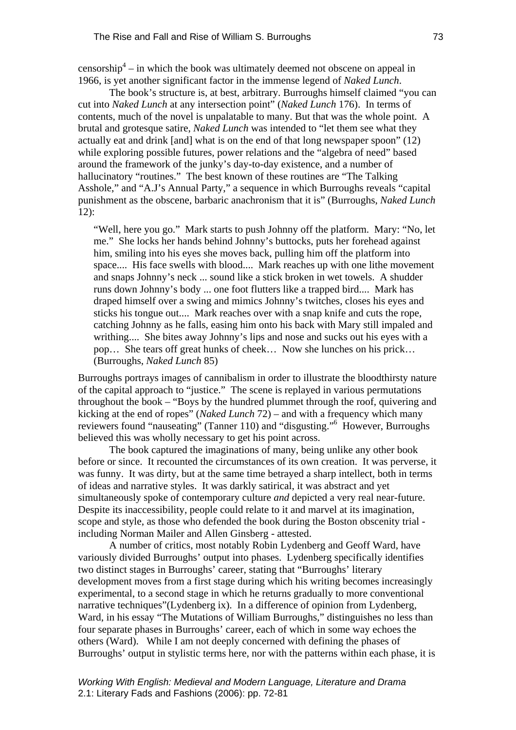censorship<sup>[4](#page-8-2)</sup> – in which the book was ultimately deemed not obscene on appeal in 1966, is yet another significant factor in the immense legend of *Naked Lunch*.

The book's structure is, at best, arbitrary. Burroughs himself claimed "you can cut into *Naked Lunch* at any intersection point" (*Naked Lunch* 176). In terms of contents, much of the novel is unpalatable to many. But that was the whole point. A brutal and grotesque satire, *Naked Lunch* was intended to "let them see what they actually eat and drink [and] what is on the end of that long newspaper spoon" (12) while exploring possible futures, power relations and the "algebra of need" based around the framework of the junky's day-to-day existence, and a number of hallucinatory "routines." The best known of these routines are "The Talking Asshole," and "A.J's Annual Party," a sequence in which Burroughs reveals "capital punishment as the obscene, barbaric anachronism that it is" (Burroughs, *Naked Lunch* 12):

"Well, here you go." Mark starts to push Johnny off the platform. Mary: "No, let me." She locks her hands behind Johnny's buttocks, puts her forehead against him, smiling into his eyes she moves back, pulling him off the platform into space.... His face swells with blood.... Mark reaches up with one lithe movement and snaps Johnny's neck ... sound like a stick broken in wet towels. A shudder runs down Johnny's body ... one foot flutters like a trapped bird.... Mark has draped himself over a swing and mimics Johnny's twitches, closes his eyes and sticks his tongue out.... Mark reaches over with a snap knife and cuts the rope, catching Johnny as he falls, easing him onto his back with Mary still impaled and writhing.... She bites away Johnny's lips and nose and sucks out his eyes with a pop… She tears off great hunks of cheek… Now she lunches on his prick… (Burroughs, *Naked Lunch* 85)

Burroughs portrays images of cannibalism in order to illustrate the bloodthirsty nature of the capital approach to "justice." The scene is replayed in various permutations throughout the book – "Boys by the hundred plummet through the roof, quivering and kicking at the end of ropes" (*Naked Lunch* 72) – and with a frequency which many reviewers found "nauseating" (Tanner 110) and "disgusting."<sup>6</sup> However, Burroughs believed this was wholly necessary to get his point across.

The book captured the imaginations of many, being unlike any other book before or since. It recounted the circumstances of its own creation. It was perverse, it was funny. It was dirty, but at the same time betrayed a sharp intellect, both in terms of ideas and narrative styles. It was darkly satirical, it was abstract and yet simultaneously spoke of contemporary culture *and* depicted a very real near-future. Despite its inaccessibility, people could relate to it and marvel at its imagination, scope and style, as those who defended the book during the Boston obscenity trial including Norman Mailer and Allen Ginsberg - attested.

A number of critics, most notably Robin Lydenberg and Geoff Ward, have variously divided Burroughs' output into phases. Lydenberg specifically identifies two distinct stages in Burroughs' career, stating that "Burroughs' literary development moves from a first stage during which his writing becomes increasingly experimental, to a second stage in which he returns gradually to more conventional narrative techniques"(Lydenberg ix). In a difference of opinion from Lydenberg, Ward, in his essay "The Mutations of William Burroughs," distinguishes no less than four separate phases in Burroughs' career, each of which in some way echoes the others (Ward). While I am not deeply concerned with defining the phases of Burroughs' output in stylistic terms here, nor with the patterns within each phase, it is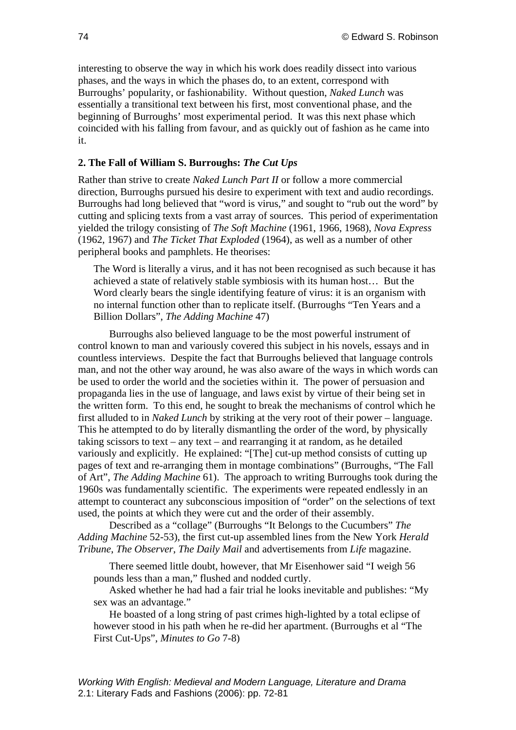interesting to observe the way in which his work does readily dissect into various phases, and the ways in which the phases do, to an extent, correspond with Burroughs' popularity, or fashionability. Without question, *Naked Lunch* was essentially a transitional text between his first, most conventional phase, and the beginning of Burroughs' most experimental period. It was this next phase which coincided with his falling from favour, and as quickly out of fashion as he came into it.

## **2. The Fall of William S. Burroughs:** *The Cut Ups*

Rather than strive to create *Naked Lunch Part II* or follow a more commercial direction, Burroughs pursued his desire to experiment with text and audio recordings. Burroughs had long believed that "word is virus," and sought to "rub out the word" by cutting and splicing texts from a vast array of sources. This period of experimentation yielded the trilogy consisting of *The Soft Machine* (1961, 1966, 1968), *Nova Express* (1962, 1967) and *The Ticket That Exploded* (1964), as well as a number of other peripheral books and pamphlets. He theorises:

The Word is literally a virus, and it has not been recognised as such because it has achieved a state of relatively stable symbiosis with its human host… But the Word clearly bears the single identifying feature of virus: it is an organism with no internal function other than to replicate itself. (Burroughs "Ten Years and a Billion Dollars", *The Adding Machine* 47)

Burroughs also believed language to be the most powerful instrument of control known to man and variously covered this subject in his novels, essays and in countless interviews. Despite the fact that Burroughs believed that language controls man, and not the other way around, he was also aware of the ways in which words can be used to order the world and the societies within it. The power of persuasion and propaganda lies in the use of language, and laws exist by virtue of their being set in the written form. To this end, he sought to break the mechanisms of control which he first alluded to in *Naked Lunch* by striking at the very root of their power – language. This he attempted to do by literally dismantling the order of the word, by physically taking scissors to text – any text – and rearranging it at random, as he detailed variously and explicitly. He explained: "[The] cut-up method consists of cutting up pages of text and re-arranging them in montage combinations" (Burroughs, "The Fall of Art", *The Adding Machine* 61). The approach to writing Burroughs took during the 1960s was fundamentally scientific. The experiments were repeated endlessly in an attempt to counteract any subconscious imposition of "order" on the selections of text used, the points at which they were cut and the order of their assembly.

Described as a "collage" (Burroughs "It Belongs to the Cucumbers" *The Adding Machine* 52-53), the first cut-up assembled lines from the New York *Herald Tribune*, *The Observer*, *The Daily Mail* and advertisements from *Life* magazine.

There seemed little doubt, however, that Mr Eisenhower said "I weigh 56 pounds less than a man," flushed and nodded curtly.

Asked whether he had had a fair trial he looks inevitable and publishes: "My sex was an advantage."

He boasted of a long string of past crimes high-lighted by a total eclipse of however stood in his path when he re-did her apartment. (Burroughs et al "The First Cut-Ups", *Minutes to Go* 7-8)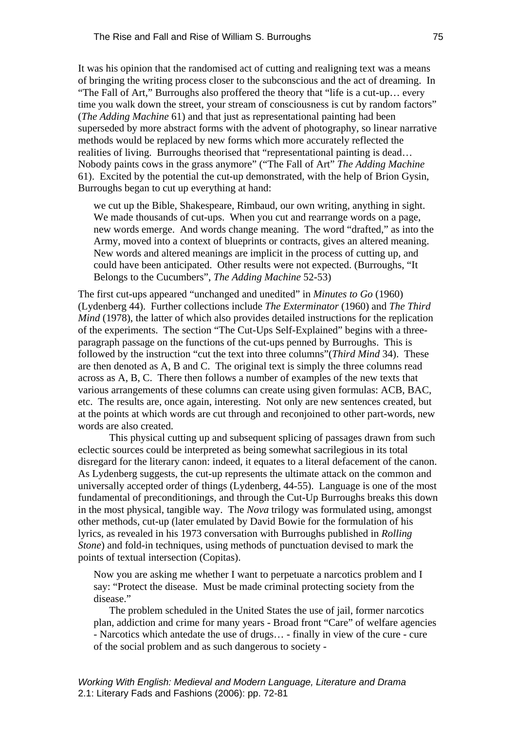It was his opinion that the randomised act of cutting and realigning text was a means of bringing the writing process closer to the subconscious and the act of dreaming. In "The Fall of Art," Burroughs also proffered the theory that "life is a cut-up… every time you walk down the street, your stream of consciousness is cut by random factors" (*The Adding Machine* 61) and that just as representational painting had been superseded by more abstract forms with the advent of photography, so linear narrative methods would be replaced by new forms which more accurately reflected the realities of living. Burroughs theorised that "representational painting is dead… Nobody paints cows in the grass anymore" ("The Fall of Art" *The Adding Machine* 61). Excited by the potential the cut-up demonstrated, with the help of Brion Gysin, Burroughs began to cut up everything at hand:

we cut up the Bible, Shakespeare, Rimbaud, our own writing, anything in sight. We made thousands of cut-ups. When you cut and rearrange words on a page, new words emerge. And words change meaning. The word "drafted," as into the Army, moved into a context of blueprints or contracts, gives an altered meaning. New words and altered meanings are implicit in the process of cutting up, and could have been anticipated. Other results were not expected. (Burroughs, "It Belongs to the Cucumbers", *The Adding Machine* 52-53)

The first cut-ups appeared "unchanged and unedited" in *Minutes to Go* (1960) (Lydenberg 44). Further collections include *The Exterminator* (1960) and *The Third Mind* (1978), the latter of which also provides detailed instructions for the replication of the experiments. The section "The Cut-Ups Self-Explained" begins with a threeparagraph passage on the functions of the cut-ups penned by Burroughs. This is followed by the instruction "cut the text into three columns"(*Third Mind* 34). These are then denoted as A, B and C. The original text is simply the three columns read across as A, B, C. There then follows a number of examples of the new texts that various arrangements of these columns can create using given formulas: ACB, BAC, etc. The results are, once again, interesting. Not only are new sentences created, but at the points at which words are cut through and reconjoined to other part-words, new words are also created.

This physical cutting up and subsequent splicing of passages drawn from such eclectic sources could be interpreted as being somewhat sacrilegious in its total disregard for the literary canon: indeed, it equates to a literal defacement of the canon. As Lydenberg suggests, the cut-up represents the ultimate attack on the common and universally accepted order of things (Lydenberg, 44-55). Language is one of the most fundamental of preconditionings, and through the Cut-Up Burroughs breaks this down in the most physical, tangible way. The *Nova* trilogy was formulated using, amongst other methods, cut-up (later emulated by David Bowie for the formulation of his lyrics, as revealed in his 1973 conversation with Burroughs published in *Rolling Stone*) and fold-in techniques, using methods of punctuation devised to mark the points of textual intersection (Copitas).

Now you are asking me whether I want to perpetuate a narcotics problem and I say: "Protect the disease. Must be made criminal protecting society from the disease."

The problem scheduled in the United States the use of jail, former narcotics plan, addiction and crime for many years - Broad front "Care" of welfare agencies - Narcotics which antedate the use of drugs… - finally in view of the cure - cure of the social problem and as such dangerous to society -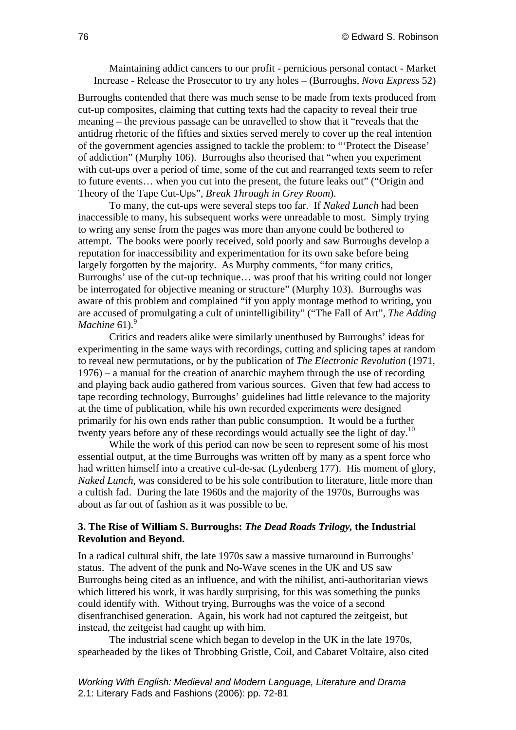## Maintaining addict cancers to our profit - pernicious personal contact - Market Increase - Release the Prosecutor to try any holes – (Burroughs, *Nova Express* 52)

Burroughs contended that there was much sense to be made from texts produced from cut-up composites, claiming that cutting texts had the capacity to reveal their true meaning – the previous passage can be unravelled to show that it "reveals that the antidrug rhetoric of the fifties and sixties served merely to cover up the real intention of the government agencies assigned to tackle the problem: to "'Protect the Disease' of addiction" (Murphy 106). Burroughs also theorised that "when you experiment with cut-ups over a period of time, some of the cut and rearranged texts seem to refer to future events… when you cut into the present, the future leaks out" ("Origin and Theory of the Tape Cut-Ups", *Break Through in Grey Room*).

To many, the cut-ups were several steps too far. If *Naked Lunch* had been inaccessible to many, his subsequent works were unreadable to most. Simply trying to wring any sense from the pages was more than anyone could be bothered to attempt. The books were poorly received, sold poorly and saw Burroughs develop a reputation for inaccessibility and experimentation for its own sake before being largely forgotten by the majority. As Murphy comments, "for many critics, Burroughs' use of the cut-up technique… was proof that his writing could not longer be interrogated for objective meaning or structure" (Murphy 103). Burroughs was aware of this problem and complained "if you apply montage method to writing, you are accused of promulgating a cult of unintelligibility" ("The Fall of Art", *The Adding Machine* 61). $^{9}$ 

Critics and readers alike were similarly unenthused by Burroughs' ideas for experimenting in the same ways with recordings, cutting and splicing tapes at random to reveal new permutations, or by the publication of *The Electronic Revolution* (1971, 1976) – a manual for the creation of anarchic mayhem through the use of recording and playing back audio gathered from various sources. Given that few had access to tape recording technology, Burroughs' guidelines had little relevance to the majority at the time of publication, while his own recorded experiments were designed primarily for his own ends rather than public consumption. It would be a further twenty years before any of these recordings would actually see the light of day.<sup>10</sup>

While the work of this period can now be seen to represent some of his most essential output, at the time Burroughs was written off by many as a spent force who had written himself into a creative cul-de-sac (Lydenberg 177). His moment of glory, *Naked Lunch*, was considered to be his sole contribution to literature, little more than a cultish fad. During the late 1960s and the majority of the 1970s, Burroughs was about as far out of fashion as it was possible to be.

## **3. The Rise of William S. Burroughs:** *The Dead Roads Trilogy,* **the Industrial Revolution and Beyond.**

In a radical cultural shift, the late 1970s saw a massive turnaround in Burroughs' status. The advent of the punk and No-Wave scenes in the UK and US saw Burroughs being cited as an influence, and with the nihilist, anti-authoritarian views which littered his work, it was hardly surprising, for this was something the punks could identify with. Without trying, Burroughs was the voice of a second disenfranchised generation. Again, his work had not captured the zeitgeist, but instead, the zeitgeist had caught up with him.

The industrial scene which began to develop in the UK in the late 1970s, spearheaded by the likes of Throbbing Gristle, Coil, and Cabaret Voltaire, also cited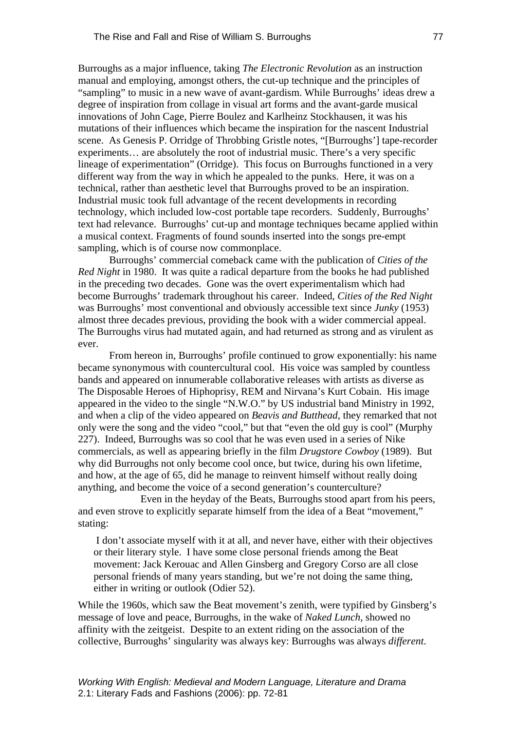Burroughs as a major influence, taking *The Electronic Revolution* as an instruction manual and employing, amongst others, the cut-up technique and the principles of "sampling" to music in a new wave of avant-gardism. While Burroughs' ideas drew a degree of inspiration from collage in visual art forms and the avant-garde musical innovations of John Cage, Pierre Boulez and Karlheinz Stockhausen, it was his mutations of their influences which became the inspiration for the nascent Industrial scene. As Genesis P. Orridge of Throbbing Gristle notes, "[Burroughs'] tape-recorder experiments… are absolutely the root of industrial music. There's a very specific lineage of experimentation" (Orridge). This focus on Burroughs functioned in a very different way from the way in which he appealed to the punks. Here, it was on a technical, rather than aesthetic level that Burroughs proved to be an inspiration. Industrial music took full advantage of the recent developments in recording technology, which included low-cost portable tape recorders. Suddenly, Burroughs' text had relevance. Burroughs' cut-up and montage techniques became applied within a musical context. Fragments of found sounds inserted into the songs pre-empt sampling, which is of course now commonplace.

Burroughs' commercial comeback came with the publication of *Cities of the Red Night* in 1980. It was quite a radical departure from the books he had published in the preceding two decades. Gone was the overt experimentalism which had become Burroughs' trademark throughout his career. Indeed, *Cities of the Red Night* was Burroughs' most conventional and obviously accessible text since *Junky* (1953) almost three decades previous, providing the book with a wider commercial appeal. The Burroughs virus had mutated again, and had returned as strong and as virulent as ever.

From hereon in, Burroughs' profile continued to grow exponentially: his name became synonymous with countercultural cool. His voice was sampled by countless bands and appeared on innumerable collaborative releases with artists as diverse as The Disposable Heroes of Hiphoprisy, REM and Nirvana's Kurt Cobain. His image appeared in the video to the single "N.W.O." by US industrial band Ministry in 1992, and when a clip of the video appeared on *Beavis and Butthead*, they remarked that not only were the song and the video "cool," but that "even the old guy is cool" (Murphy 227). Indeed, Burroughs was so cool that he was even used in a series of Nike commercials, as well as appearing briefly in the film *Drugstore Cowboy* (1989). But why did Burroughs not only become cool once, but twice, during his own lifetime, and how, at the age of 65, did he manage to reinvent himself without really doing anything, and become the voice of a second generation's counterculture?

Even in the heyday of the Beats, Burroughs stood apart from his peers, and even strove to explicitly separate himself from the idea of a Beat "movement," stating:

 I don't associate myself with it at all, and never have, either with their objectives or their literary style. I have some close personal friends among the Beat movement: Jack Kerouac and Allen Ginsberg and Gregory Corso are all close personal friends of many years standing, but we're not doing the same thing, either in writing or outlook (Odier 52).

While the 1960s, which saw the Beat movement's zenith, were typified by Ginsberg's message of love and peace, Burroughs, in the wake of *Naked Lunch*, showed no affinity with the zeitgeist. Despite to an extent riding on the association of the collective, Burroughs' singularity was always key: Burroughs was always *different*.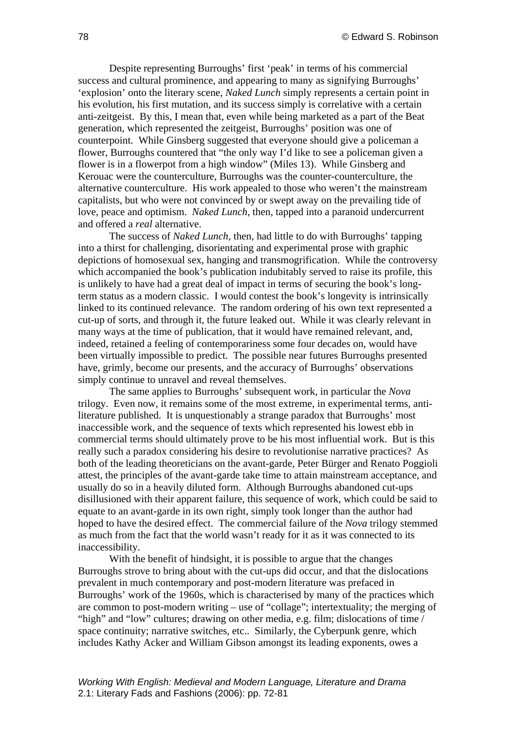Despite representing Burroughs' first 'peak' in terms of his commercial success and cultural prominence, and appearing to many as signifying Burroughs' 'explosion' onto the literary scene, *Naked Lunch* simply represents a certain point in his evolution, his first mutation, and its success simply is correlative with a certain anti-zeitgeist. By this, I mean that, even while being marketed as a part of the Beat generation, which represented the zeitgeist, Burroughs' position was one of counterpoint. While Ginsberg suggested that everyone should give a policeman a flower, Burroughs countered that "the only way I'd like to see a policeman given a flower is in a flowerpot from a high window" (Miles 13). While Ginsberg and Kerouac were the counterculture, Burroughs was the counter-counterculture, the alternative counterculture. His work appealed to those who weren't the mainstream capitalists, but who were not convinced by or swept away on the prevailing tide of love, peace and optimism. *Naked Lunch*, then, tapped into a paranoid undercurrent and offered a *real* alternative.

The success of *Naked Lunch*, then, had little to do with Burroughs' tapping into a thirst for challenging, disorientating and experimental prose with graphic depictions of homosexual sex, hanging and transmogrification. While the controversy which accompanied the book's publication indubitably served to raise its profile, this is unlikely to have had a great deal of impact in terms of securing the book's longterm status as a modern classic. I would contest the book's longevity is intrinsically linked to its continued relevance. The random ordering of his own text represented a cut-up of sorts, and through it, the future leaked out. While it was clearly relevant in many ways at the time of publication, that it would have remained relevant, and, indeed, retained a feeling of contemporariness some four decades on, would have been virtually impossible to predict. The possible near futures Burroughs presented have, grimly, become our presents, and the accuracy of Burroughs' observations simply continue to unravel and reveal themselves.

The same applies to Burroughs' subsequent work, in particular the *Nova* trilogy. Even now, it remains some of the most extreme, in experimental terms, antiliterature published. It is unquestionably a strange paradox that Burroughs' most inaccessible work, and the sequence of texts which represented his lowest ebb in commercial terms should ultimately prove to be his most influential work. But is this really such a paradox considering his desire to revolutionise narrative practices? As both of the leading theoreticians on the avant-garde, Peter Bürger and Renato Poggioli attest, the principles of the avant-garde take time to attain mainstream acceptance, and usually do so in a heavily diluted form. Although Burroughs abandoned cut-ups disillusioned with their apparent failure, this sequence of work, which could be said to equate to an avant-garde in its own right, simply took longer than the author had hoped to have the desired effect. The commercial failure of the *Nova* trilogy stemmed as much from the fact that the world wasn't ready for it as it was connected to its inaccessibility.

With the benefit of hindsight, it is possible to argue that the changes Burroughs strove to bring about with the cut-ups did occur, and that the dislocations prevalent in much contemporary and post-modern literature was prefaced in Burroughs' work of the 1960s, which is characterised by many of the practices which are common to post-modern writing – use of "collage"; intertextuality; the merging of "high" and "low" cultures; drawing on other media, e.g. film; dislocations of time / space continuity; narrative switches, etc.. Similarly, the Cyberpunk genre, which includes Kathy Acker and William Gibson amongst its leading exponents, owes a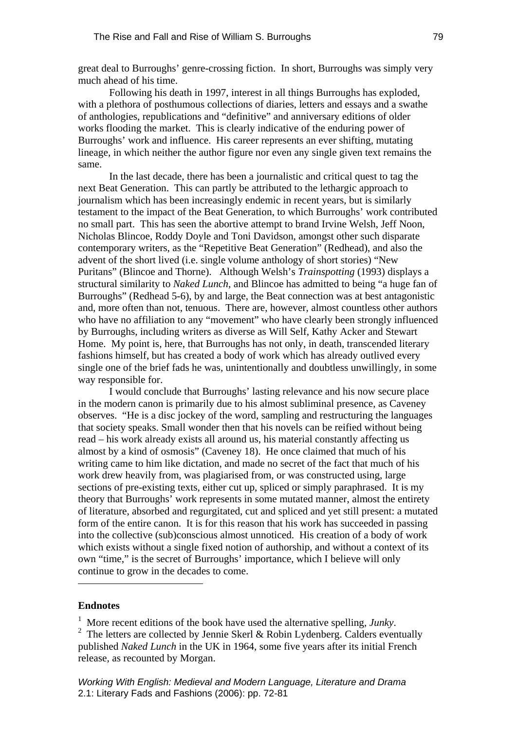great deal to Burroughs' genre-crossing fiction. In short, Burroughs was simply very much ahead of his time.

Following his death in 1997, interest in all things Burroughs has exploded, with a plethora of posthumous collections of diaries, letters and essays and a swathe of anthologies, republications and "definitive" and anniversary editions of older works flooding the market. This is clearly indicative of the enduring power of Burroughs' work and influence. His career represents an ever shifting, mutating lineage, in which neither the author figure nor even any single given text remains the same.

In the last decade, there has been a journalistic and critical quest to tag the next Beat Generation. This can partly be attributed to the lethargic approach to journalism which has been increasingly endemic in recent years, but is similarly testament to the impact of the Beat Generation, to which Burroughs' work contributed no small part. This has seen the abortive attempt to brand Irvine Welsh, Jeff Noon, Nicholas Blincoe, Roddy Doyle and Toni Davidson, amongst other such disparate contemporary writers, as the "Repetitive Beat Generation" (Redhead), and also the advent of the short lived (i.e. single volume anthology of short stories) "New Puritans" (Blincoe and Thorne). Although Welsh's *Trainspotting* (1993) displays a structural similarity to *Naked Lunch*, and Blincoe has admitted to being "a huge fan of Burroughs" (Redhead 5-6), by and large, the Beat connection was at best antagonistic and, more often than not, tenuous. There are, however, almost countless other authors who have no affiliation to any "movement" who have clearly been strongly influenced by Burroughs, including writers as diverse as Will Self, Kathy Acker and Stewart Home. My point is, here, that Burroughs has not only, in death, transcended literary fashions himself, but has created a body of work which has already outlived every single one of the brief fads he was, unintentionally and doubtless unwillingly, in some way responsible for.

I would conclude that Burroughs' lasting relevance and his now secure place in the modern canon is primarily due to his almost subliminal presence, as Caveney observes. "He is a disc jockey of the word, sampling and restructuring the languages that society speaks. Small wonder then that his novels can be reified without being read – his work already exists all around us, his material constantly affecting us almost by a kind of osmosis" (Caveney 18). He once claimed that much of his writing came to him like dictation, and made no secret of the fact that much of his work drew heavily from, was plagiarised from, or was constructed using, large sections of pre-existing texts, either cut up, spliced or simply paraphrased. It is my theory that Burroughs' work represents in some mutated manner, almost the entirety of literature, absorbed and regurgitated, cut and spliced and yet still present: a mutated form of the entire canon. It is for this reason that his work has succeeded in passing into the collective (sub)conscious almost unnoticed. His creation of a body of work which exists without a single fixed notion of authorship, and without a context of its own "time," is the secret of Burroughs' importance, which I believe will only continue to grow in the decades to come.

#### **Endnotes**

 $\overline{a}$ 

<sup>1</sup> More recent editions of the book have used the alternative spelling, *Junky*.

<sup>&</sup>lt;sup>2</sup> The letters are collected by Jennie Skerl & Robin Lydenberg. Calders eventually published *Naked Lunch* in the UK in 1964, some five years after its initial French release, as recounted by Morgan.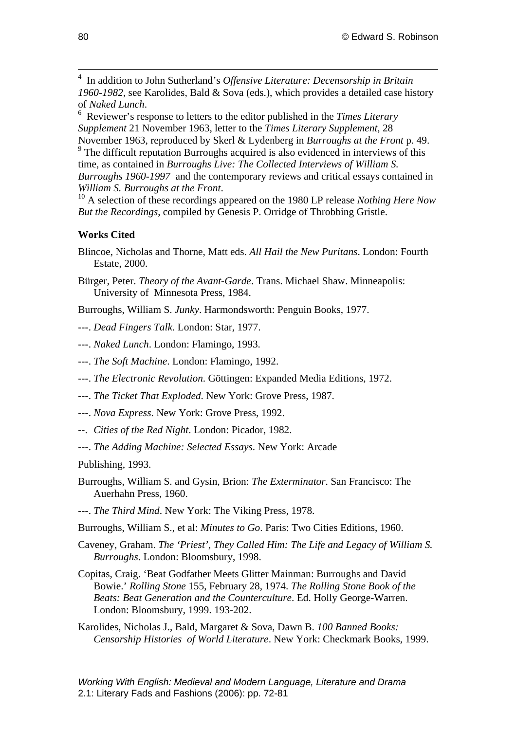<span id="page-8-2"></span> 4 In addition to John Sutherland's *Offensive Literature: Decensorship in Britain 1960-1982*, see Karolides, Bald & Sova (eds.), which provides a detailed case history of *Naked Lunch*. 6

<span id="page-8-3"></span> Reviewer's response to letters to the editor published in the *Times Literary Supplement* 21 November 1963, letter to the *Times Literary Supplement*, 28 November 1963, reproduced by Skerl & Lydenberg in *Burroughs at the Front* p. 49.

<span id="page-8-4"></span><sup>9</sup> The difficult reputation Burroughs acquired is also evidenced in interviews of this time, as contained in *Burroughs Live: The Collected Interviews of William S. Burroughs 1960-1997* and the contemporary reviews and critical essays contained in *William S. Burroughs at the Front.* <sup>10</sup> A selection of these recordings appeared on the 1980 LP release *Nothing Here Now* 

<span id="page-8-5"></span>*But the Recordings*, compiled by Genesis P. Orridge of Throbbing Gristle.

# **Works Cited**

- Blincoe, Nicholas and Thorne, Matt eds. *All Hail the New Puritans*. London: Fourth Estate, 2000.
- Bürger, Peter. *Theory of the Avant-Garde*. Trans. Michael Shaw. Minneapolis: University of Minnesota Press, 1984.
- Burroughs, William S. *Junky*. Harmondsworth: Penguin Books, 1977.
- ---. *Dead Fingers Talk*. London: Star, 1977.
- ---. *Naked Lunch*. London: Flamingo, 1993.
- ---. *The Soft Machine*. London: Flamingo, 1992.
- ---. *The Electronic Revolution*. Göttingen: Expanded Media Editions, 1972.
- ---. *The Ticket That Exploded*. New York: Grove Press, 1987.
- ---. *Nova Express*. New York: Grove Press, 1992.
- --. *Cities of the Red Night*. London: Picador, 1982.
- ---. *The Adding Machine: Selected Essays*. New York: Arcade

Publishing, 1993.

- Burroughs, William S. and Gysin, Brion: *The Exterminator*. San Francisco: The Auerhahn Press, 1960.
- ---. *The Third Mind*. New York: The Viking Press, 1978.
- Burroughs, William S., et al: *Minutes to Go*. Paris: Two Cities Editions, 1960.
- Caveney, Graham. *The 'Priest', They Called Him: The Life and Legacy of William S. Burroughs*. London: Bloomsbury, 1998.
- Copitas, Craig. 'Beat Godfather Meets Glitter Mainman: Burroughs and David Bowie.' *Rolling Stone* 155, February 28, 1974. *The Rolling Stone Book of the Beats: Beat Generation and the Counterculture*. Ed. Holly George-Warren. London: Bloomsbury, 1999. 193-202.
- <span id="page-8-1"></span><span id="page-8-0"></span>Karolides, Nicholas J., Bald, Margaret & Sova, Dawn B. *100 Banned Books: Censorship Histories of World Literature*. New York: Checkmark Books, 1999.